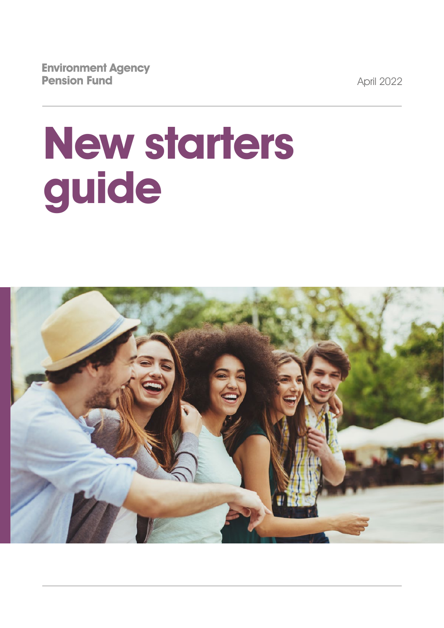**Environment Agency Pension Fund** 

April 2022

# **New starters guide**

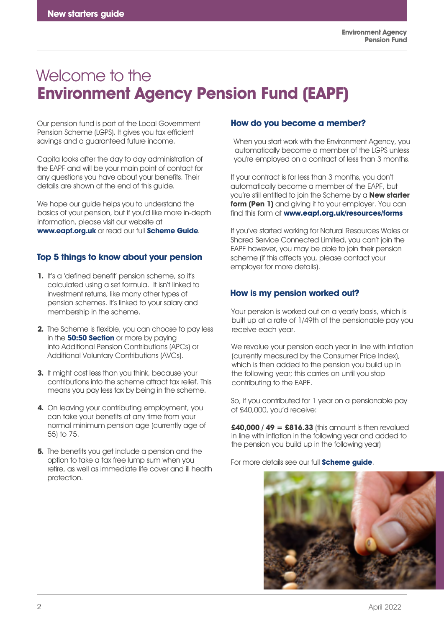# Welcome to the **Environment Agency Pension Fund (EAPF)**

Our pension fund is part of the Local Government Pension Scheme (LGPS). It gives you tax efficient savings and a guaranteed future income.

Capita looks after the day to day administration of the EAPF and will be your main point of contact for any questions you have about your benefits. Their details are shown at the end of this guide.

We hope our quide helps you to understand the basics of your pension, but if you'd like more in-depth information, please visit our website at **www.eapf.org.uk** or read our full **[Scheme](https://www.eapf.org.uk/publications) Guide**.

# **Top 5 things to know about your pension**

- **1.** It's a 'defined benefit' pension scheme, so it's calculated using a set formula. It isn't linked to investment returns, like many other types of pension schemes. It's linked to your salary and membership in the scheme.
- **2.** The Scheme is flexible, you can choose to pay less in the **50:50 [Section](http://www.eapf.org.uk/en/members/ive-recently-joined/the-5050-section )** or more by paying into Additional Pension Contributions (APCs) or Additional Voluntary Contributions (AVCs).
- **3.** It might cost less than you think, because your contributions into the scheme attract tax relief. This means you pay less tax by being in the scheme.
- **4.** On leaving your contributing employment, you can take your benefits at any time from your normal minimum pension age (currently age of 55) to 75.
- **5.** The benefits you get include a pension and the option to take a tax free lump sum when you retire, as well as immediate life cover and ill health protection.

## **How do you become a member?**

When you start work with the Environment Agency, you automatically become a member of the LGPS unless you're employed on a contract of less than 3 months.

If your contract is for less than 3 months, you don't automatically become a member of the EAPF, but you're still entitled to join the Scheme by a **New starter form (Pen 1)** and giving it to your employer. You can find this form at **www.eapf.org.uk/resources/forms**

If you've started working for Natural Resources Wales or Shared Service Connected Limited, you can't join the EAPF however, you may be able to join their pension scheme (if this affects you, please contact your employer for more details).

# **How is my pension worked out?**

Your pension is worked out on a yearly basis, which is built up at a rate of 1/49th of the pensionable pay you receive each year.

We revalue your pension each year in line with inflation (currently measured by the Consumer Price Index), which is then added to the pension you build up in the following year; this carries on until you stop contributing to the EAPF.

So, if you contributed for 1 year on a pensionable pay of £40,000, you'd receive:

**£40,000 / 49 = £816.33** (this amount is then revalued in line with inflation in the following year and added to the pension you build up in the following year)

For more details see our full **[Scheme](https://www.eapf.org.uk/publications) guide**.

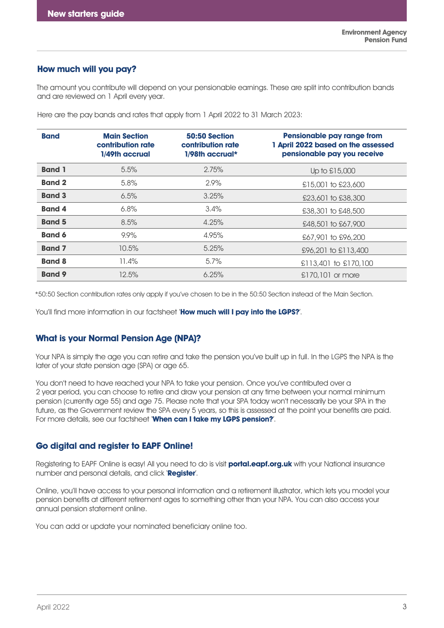#### **How much will you pay?**

The amount you contribute will depend on your pensionable earnings. These are split into contribution bands and are reviewed on 1 April every year.

| <b>Band</b>   | <b>Main Section</b><br>contribution rate<br>1/49th accrual | 50:50 Section<br>contribution rate<br>$1/98$ th accrual* | Pensionable pay range from<br>1 April 2022 based on the assessed<br>pensionable pay you receive |
|---------------|------------------------------------------------------------|----------------------------------------------------------|-------------------------------------------------------------------------------------------------|
| <b>Band 1</b> | 5.5%                                                       | 2.75%                                                    | Up to £15,000                                                                                   |
| <b>Band 2</b> | 5.8%                                                       | 2.9%                                                     | £15,001 to £23,600                                                                              |
| <b>Band 3</b> | 6.5%                                                       | 3.25%                                                    | £23,601 to £38,300                                                                              |
| <b>Band 4</b> | 6.8%                                                       | $3.4\%$                                                  | £38,301 to £48,500                                                                              |
| <b>Band 5</b> | 8.5%                                                       | 4.25%                                                    | £48,501 to £67,900                                                                              |
| <b>Band 6</b> | 9.9%                                                       | 4.95%                                                    | £67,901 to £96,200                                                                              |
| <b>Band 7</b> | 10.5%                                                      | 5.25%                                                    | £96,201 to £113,400                                                                             |
| <b>Band 8</b> | 11.4%                                                      | $5.7\%$                                                  | $£113,401$ to £170,100                                                                          |
| <b>Band 9</b> | 12.5%                                                      | 6.25%                                                    | £170,101 or more                                                                                |

Here are the pay bands and rates that apply from 1 April 2022 to 31 March 2023:

\*50:50 Section contribution rates only apply if you've chosen to be in the 50:50 Section instead of the Main Section.

You'll find more information in our factsheet '**How [much will I pay into the LGPS?](https://www.eapf.org.uk/publications.aspx#hmwip )**'.

#### **What is your Normal Pension Age (NPA)?**

Your NPA is simply the age you can retire and take the pension you've built up in full. In the LGPS the NPA is the later of your state pension age (SPA) or age 65.

You don't need to have reached your NPA to take your pension. Once you've contributed over a 2 year period, you can choose to retire and draw your pension at any time between your normal minimum pension (currently age 55) and age 75. Please note that your SPA today won't necessarily be your SPA in the future, as the Government review the SPA every 5 years, so this is assessed at the point your benefits are paid. For more details, see our factsheet '**[When can I take my LGPS pension?](http://www.eapf.org.uk/publications.aspx#wcitmp)**'.

#### **Go digital and register to EAPF Online!**

Registering to EAPF Online is easy! All you need to do is visit **[portal.eapf.org.uk](https://portal.eapf.org.uk/)** with your National insurance number and personal details, and click '**Register**'.

Online, you'll have access to your personal information and a retirement illustrator, which lets you model your pension benefits at different retirement ages to something other than your NPA. You can also access your annual pension statement online.

You can add or update your nominated beneficiary online too.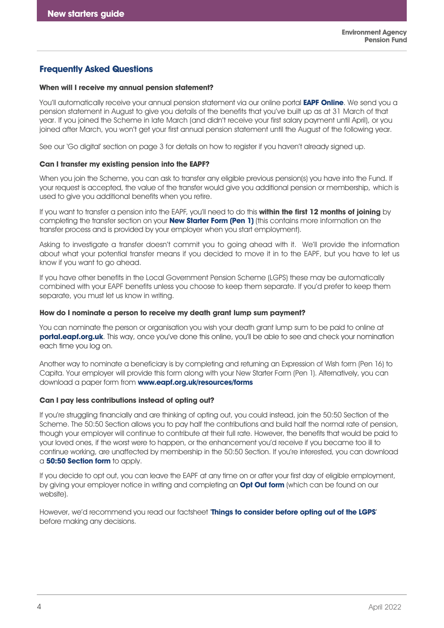#### **Frequently Asked Questions**

#### **When will I receive my annual pension statement?**

You'll automatically receive your annual pension statement via our online portal **[EAPF Online](https://www.hartlinkonline.co.uk/eapf/hopl.chi/wui/homepgui.html)**. We send you a pension statement in August to give you details of the benefits that you've built up as at 31 March of that year. If you joined the Scheme in late March (and didn't receive your first salary payment until April), or you joined after March, you won't get your first annual pension statement until the August of the following year.

See our 'Go digital' section on page 3 for details on how to register if you haven't already signed up.

#### **Can I transfer my existing pension into the EAPF?**

When you join the Scheme, you can ask to transfer any eligible previous pension(s) you have into the Fund. If your request is accepted, the value of the transfer would give you additional pension or membership, which is used to give you additional benefits when you retire.

If you want to transfer a pension into the EAPF, you'll need to do this **within the first 12 months of joining** by completing the transfer section on your **New [Starter Form \(Pen 1\)](https://www.eapf.org.uk/forms)** (this contains more information on the transfer process and is provided by your employer when you start employment).

Asking to investigate a transfer doesn't commit you to going ahead with it. We'll provide the information about what your potential transfer means if you decided to move it in to the EAPF, but you have to let us know if you want to go ahead.

If you have other benefits in the Local Government Pension Scheme (LGPS) these may be automatically combined with your EAPF benefits unless you choose to keep them separate. If you'd prefer to keep them separate, you must let us know in writing.

#### **How do I nominate a person to receive my death grant lump sum payment?**

You can nominate the person or organisation you wish your death grant lump sum to be paid to online at **portal.eapf.org.uk**. This way, once you've done this online, you'll be [able to see and check](https://portal.eapf.org.uk/) your nomination each time you log on.

Another way to nominate a beneficiary is by completing and returning an Expression of Wish form (Pen 16) to Capita. Your employer will provide this form along with your New Starter Form (Pen 1). Alternatively, you can download a paper form from **www.eapf.org.uk/resources/forms**

#### **Can I pay less contributions instead of opting out?**

If you're struggling financially and are thinking of opting out, you could instead, join the 50:50 Section of the Scheme. The 50:50 Section allows you to pay half the contributions and build half the normal rate of pension, though your employer will continue to contribute at their full rate. However, the benefits that would be paid to your loved ones, if the worst were to happen, or the enhancement you'd receive if you became too ill to continue working, are unaffected by membership in the 50:50 Section. If you're interested, you can download a **[50:50 Section form](https://www.eapf.org.uk/forms)** to apply.

If you decide to opt out, you can leave the EAPF at any time on or after your first day of eligible employment, by giving your employer notice in writing and completing an **[Opt Out form](https://www.eapf.org.uk/forms)** (which can be found on our website).

However, we'd recommend you read our factsheet '**[Things to consider before opting](https://www.eapf.org.uk/publications.aspx#ttcboo) [out of the LGPS](https://www.eapf.org.uk/publications.aspx#ttcboo)**' before making any decisions.